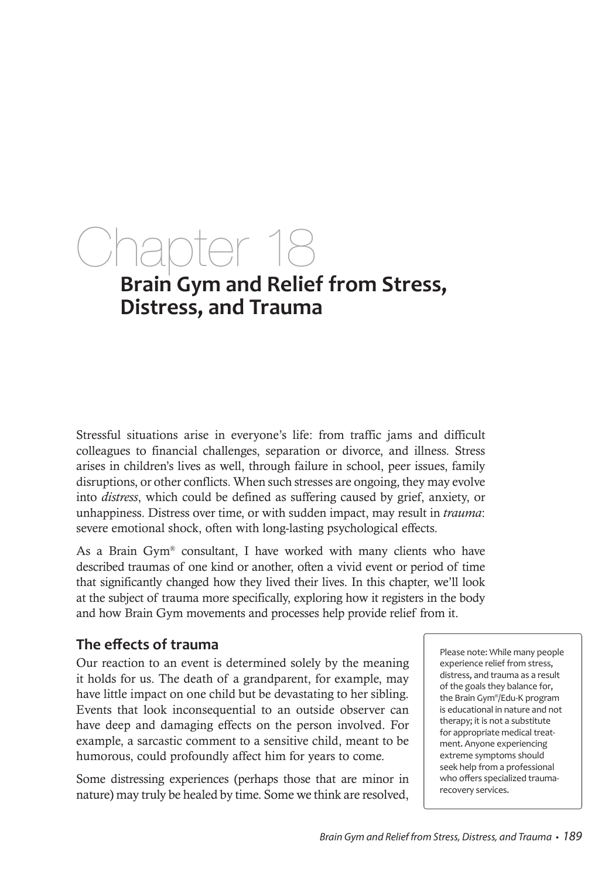# Chapter 18 **Brain Gym and Relief from Stress,**

## **Distress, and Trauma**

Stressful situations arise in everyone's life: from traffic jams and difficult colleagues to financial challenges, separation or divorce, and illness. Stress arises in children's lives as well, through failure in school, peer issues, family disruptions, or other conflicts. When such stresses are ongoing, they may evolve into *distress*, which could be defined as suffering caused by grief, anxiety, or unhappiness. Distress over time, or with sudden impact, may result in *trauma*: severe emotional shock, often with long-lasting psychological effects.

As a Brain Gym<sup>®</sup> consultant, I have worked with many clients who have described traumas of one kind or another, often a vivid event or period of time that significantly changed how they lived their lives. In this chapter, we'll look at the subject of trauma more specifically, exploring how it registers in the body and how Brain Gym movements and processes help provide relief from it.

### **The effects of trauma**

Our reaction to an event is determined solely by the meaning it holds for us. The death of a grandparent, for example, may have little impact on one child but be devastating to her sibling. Events that look inconsequential to an outside observer can have deep and damaging effects on the person involved. For example, a sarcastic comment to a sensitive child, meant to be humorous, could profoundly affect him for years to come.

Some distressing experiences (perhaps those that are minor in nature) may truly be healed by time. Some we think are resolved,

Please note: While many people experience relief from stress, distress, and trauma as a result of the goals they balance for, the Brain Gym®/Edu-K program is educational in nature and not therapy; it is not a substitute for appropriate medical treatment. Anyone experiencing extreme symptoms should seek help from a professional who offers specialized traumarecovery services.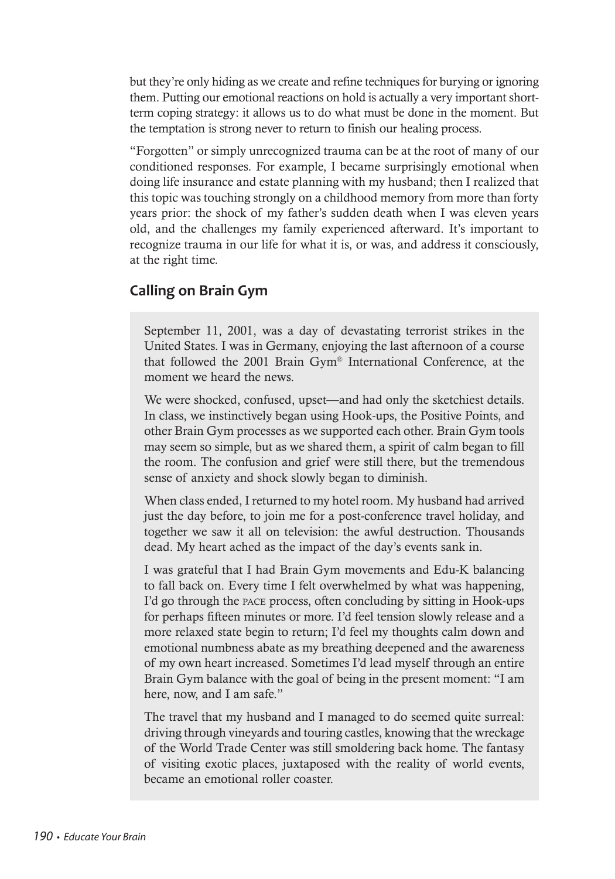but they're only hiding as we create and refine techniques for burying or ignoring them. Putting our emotional reactions on hold is actually a very important shortterm coping strategy: it allows us to do what must be done in the moment. But the temptation is strong never to return to finish our healing process.

"Forgotten" or simply unrecognized trauma can be at the root of many of our conditioned responses. For example, I became surprisingly emotional when doing life insurance and estate planning with my husband; then I realized that this topic was touching strongly on a childhood memory from more than forty years prior: the shock of my father's sudden death when I was eleven years old, and the challenges my family experienced afterward. It's important to recognize trauma in our life for what it is, or was, and address it consciously, at the right time.

### **Calling on Brain Gym**

September 11, 2001, was a day of devastating terrorist strikes in the United States. I was in Germany, enjoying the last afternoon of a course that followed the 2001 Brain Gym® International Conference, at the moment we heard the news.

We were shocked, confused, upset—and had only the sketchiest details. In class, we instinctively began using Hook-ups, the Positive Points, and other Brain Gym processes as we supported each other. Brain Gym tools may seem so simple, but as we shared them, a spirit of calm began to fill the room. The confusion and grief were still there, but the tremendous sense of anxiety and shock slowly began to diminish.

When class ended, I returned to my hotel room. My husband had arrived just the day before, to join me for a post-conference travel holiday, and together we saw it all on television: the awful destruction. Thousands dead. My heart ached as the impact of the day's events sank in.

I was grateful that I had Brain Gym movements and Edu-K balancing to fall back on. Every time I felt overwhelmed by what was happening, I'd go through the pace process, often concluding by sitting in Hook-ups for perhaps fifteen minutes or more. I'd feel tension slowly release and a more relaxed state begin to return; I'd feel my thoughts calm down and emotional numbness abate as my breathing deepened and the awareness of my own heart increased. Sometimes I'd lead myself through an entire Brain Gym balance with the goal of being in the present moment: "I am here, now, and I am safe."

The travel that my husband and I managed to do seemed quite surreal: driving through vineyards and touring castles, knowing that the wreckage of the World Trade Center was still smoldering back home. The fantasy of visiting exotic places, juxtaposed with the reality of world events, became an emotional roller coaster.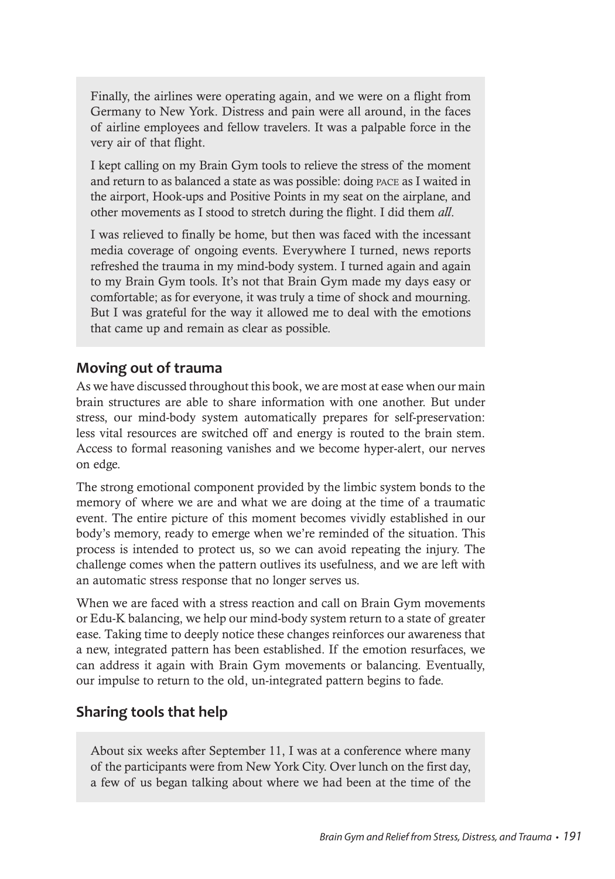Finally, the airlines were operating again, and we were on a flight from Germany to New York. Distress and pain were all around, in the faces of airline employees and fellow travelers. It was a palpable force in the very air of that flight.

I kept calling on my Brain Gym tools to relieve the stress of the moment and return to as balanced a state as was possible: doing pace as I waited in the airport, Hook-ups and Positive Points in my seat on the airplane, and other movements as I stood to stretch during the flight. I did them *all*.

I was relieved to finally be home, but then was faced with the incessant media coverage of ongoing events. Everywhere I turned, news reports refreshed the trauma in my mind-body system. I turned again and again to my Brain Gym tools. It's not that Brain Gym made my days easy or comfortable; as for everyone, it was truly a time of shock and mourning. But I was grateful for the way it allowed me to deal with the emotions that came up and remain as clear as possible.

### **Moving out of trauma**

As we have discussed throughout this book, we are most at ease when our main brain structures are able to share information with one another. But under stress, our mind-body system automatically prepares for self-preservation: less vital resources are switched off and energy is routed to the brain stem. Access to formal reasoning vanishes and we become hyper-alert, our nerves on edge.

The strong emotional component provided by the limbic system bonds to the memory of where we are and what we are doing at the time of a traumatic event. The entire picture of this moment becomes vividly established in our body's memory, ready to emerge when we're reminded of the situation. This process is intended to protect us, so we can avoid repeating the injury. The challenge comes when the pattern outlives its usefulness, and we are left with an automatic stress response that no longer serves us.

When we are faced with a stress reaction and call on Brain Gym movements or Edu-K balancing, we help our mind-body system return to a state of greater ease. Taking time to deeply notice these changes reinforces our awareness that a new, integrated pattern has been established. If the emotion resurfaces, we can address it again with Brain Gym movements or balancing. Eventually, our impulse to return to the old, un-integrated pattern begins to fade.

### **Sharing tools that help**

About six weeks after September 11, I was at a conference where many of the participants were from New York City. Over lunch on the first day, a few of us began talking about where we had been at the time of the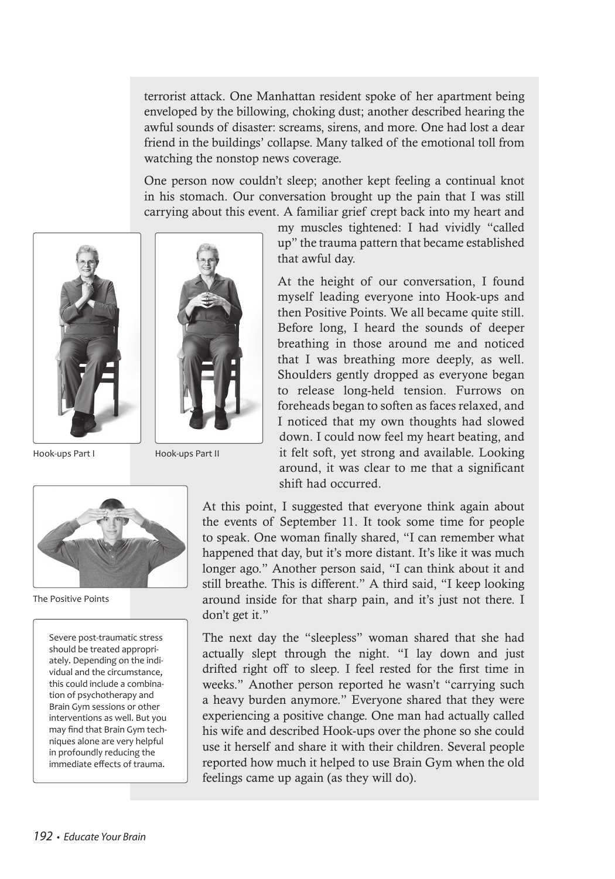terrorist attack. One Manhattan resident spoke of her apartment being enveloped by the billowing, choking dust; another described hearing the awful sounds of disaster: screams, sirens, and more. One had lost a dear friend in the buildings' collapse. Many talked of the emotional toll from watching the nonstop news coverage.

One person now couldn't sleep; another kept feeling a continual knot in his stomach. Our conversation brought up the pain that I was still carrying about this event. A familiar grief crept back into my heart and



Hook-ups Part I

Hook-ups Part II



The Positive Points

Severe post-traumatic stress should be treated appropriately. Depending on the individual and the circumstance, this could include a combination of psychotherapy and Brain Gym sessions or other interventions as well. But you may find that Brain Gym techniques alone are very helpful in profoundly reducing the immediate effects of trauma.

my muscles tightened: I had vividly "called up" the trauma pattern that became established that awful day.

At the height of our conversation, I found myself leading everyone into Hook-ups and then Positive Points. We all became quite still. Before long, I heard the sounds of deeper breathing in those around me and noticed that I was breathing more deeply, as well. Shoulders gently dropped as everyone began to release long-held tension. Furrows on foreheads began to soften as faces relaxed, and I noticed that my own thoughts had slowed down. I could now feel my heart beating, and it felt soft, yet strong and available. Looking around, it was clear to me that a significant shift had occurred.

At this point, I suggested that everyone think again about the events of September 11. It took some time for people to speak. One woman finally shared, "I can remember what happened that day, but it's more distant. It's like it was much longer ago." Another person said, "I can think about it and still breathe. This is different." A third said, "I keep looking around inside for that sharp pain, and it's just not there. I don't get it."

The next day the "sleepless" woman shared that she had actually slept through the night. "I lay down and just drifted right off to sleep. I feel rested for the first time in weeks." Another person reported he wasn't "carrying such a heavy burden anymore." Everyone shared that they were experiencing a positive change. One man had actually called his wife and described Hook-ups over the phone so she could use it herself and share it with their children. Several people reported how much it helped to use Brain Gym when the old feelings came up again (as they will do).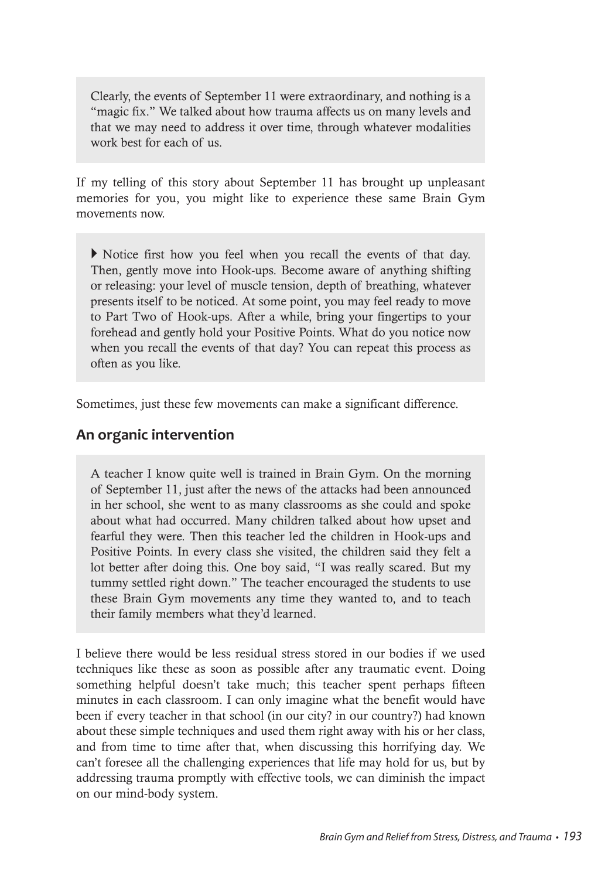Clearly, the events of September 11 were extraordinary, and nothing is a "magic fix." We talked about how trauma affects us on many levels and that we may need to address it over time, through whatever modalities work best for each of us.

If my telling of this story about September 11 has brought up unpleasant memories for you, you might like to experience these same Brain Gym movements now.

} Notice first how you feel when you recall the events of that day. Then, gently move into Hook-ups. Become aware of anything shifting or releasing: your level of muscle tension, depth of breathing, whatever presents itself to be noticed. At some point, you may feel ready to move to Part Two of Hook-ups. After a while, bring your fingertips to your forehead and gently hold your Positive Points. What do you notice now when you recall the events of that day? You can repeat this process as often as you like.

Sometimes, just these few movements can make a significant difference.

### **An organic intervention**

A teacher I know quite well is trained in Brain Gym. On the morning of September 11, just after the news of the attacks had been announced in her school, she went to as many classrooms as she could and spoke about what had occurred. Many children talked about how upset and fearful they were. Then this teacher led the children in Hook-ups and Positive Points. In every class she visited, the children said they felt a lot better after doing this. One boy said, "I was really scared. But my tummy settled right down." The teacher encouraged the students to use these Brain Gym movements any time they wanted to, and to teach their family members what they'd learned.

I believe there would be less residual stress stored in our bodies if we used techniques like these as soon as possible after any traumatic event. Doing something helpful doesn't take much; this teacher spent perhaps fifteen minutes in each classroom. I can only imagine what the benefit would have been if every teacher in that school (in our city? in our country?) had known about these simple techniques and used them right away with his or her class, and from time to time after that, when discussing this horrifying day. We can't foresee all the challenging experiences that life may hold for us, but by addressing trauma promptly with effective tools, we can diminish the impact on our mind-body system.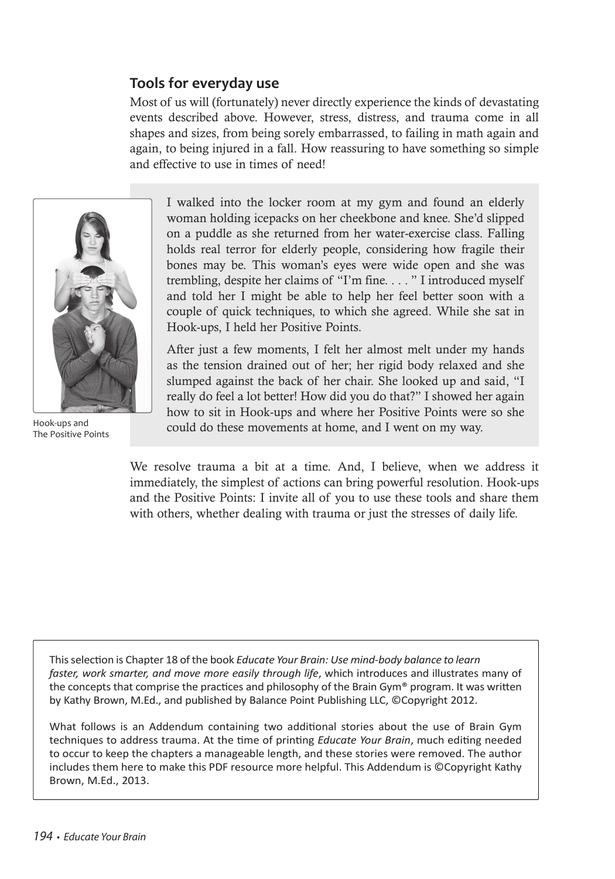### **Tools for everyday use**

Most of us will (fortunately) never directly experience the kinds of devastating events described above. However, stress, distress, and trauma come in all shapes and sizes, from being sorely embarrassed, to failing in math again and again, to being injured in a fall. How reassuring to have something so simple and effective to use in times of need!



The Positive Points

I walked into the locker room at my gym and found an elderly woman holding icepacks on her cheekbone and knee. She'd slipped on a puddle as she returned from her water-exercise class. Falling holds real terror for elderly people, considering how fragile their bones may be. This woman's eyes were wide open and she was trembling, despite her claims of "I'm fine. . . . " I introduced myself and told her I might be able to help her feel better soon with a couple of quick techniques, to which she agreed. While she sat in Hook-ups, I held her Positive Points.

After just a few moments, I felt her almost melt under my hands as the tension drained out of her; her rigid body relaxed and she slumped against the back of her chair. She looked up and said, "I really do feel a lot better! How did you do that?" I showed her again how to sit in Hook-ups and where her Positive Points were so she Hook-ups and<br>
could do these movements at home, and I went on my way.

> We resolve trauma a bit at a time. And, I believe, when we address it immediately, the simplest of actions can bring powerful resolution. Hook-ups and the Positive Points: I invite all of you to use these tools and share them with others, whether dealing with trauma or just the stresses of daily life.

This selection is Chapter 18 of the book *Educate Your Brain: Use mind-body balance to learn faster, work smarter, and move more easily through life*, which introduces and illustrates many of the concepts that comprise the practices and philosophy of the Brain Gym® program. It was written by Kathy Brown, M.Ed., and published by Balance Point Publishing LLC, ©Copyright 2012.

What follows is an Addendum containing two additional stories about the use of Brain Gym techniques to address trauma. At the time of printing *Educate Your Brain*, much editing needed to occur to keep the chapters a manageable length, and these stories were removed. The author includes them here to make this PDF resource more helpful. This Addendum is ©Copyright Kathy Brown, M.Ed., 2013.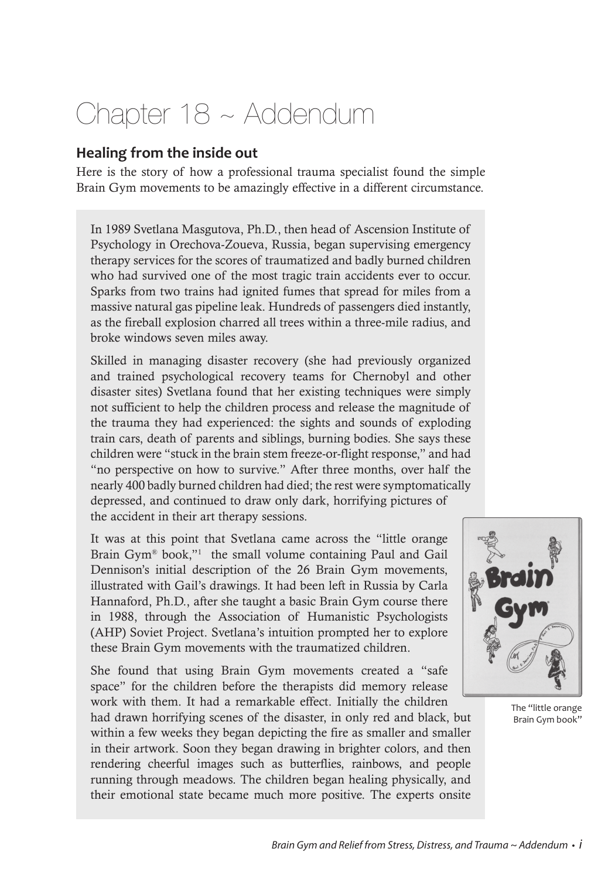### Chapter 18 ~ Addendum

### **Healing from the inside out**

Here is the story of how a professional trauma specialist found the simple Brain Gym movements to be amazingly effective in a different circumstance.

In 1989 Svetlana Masgutova, Ph.D., then head of Ascension Institute of Psychology in Orechova-Zoueva, Russia, began supervising emergency therapy services for the scores of traumatized and badly burned children who had survived one of the most tragic train accidents ever to occur. Sparks from two trains had ignited fumes that spread for miles from a massive natural gas pipeline leak. Hundreds of passengers died instantly, as the fireball explosion charred all trees within a three-mile radius, and broke windows seven miles away.

Skilled in managing disaster recovery (she had previously organized and trained psychological recovery teams for Chernobyl and other disaster sites) Svetlana found that her existing techniques were simply not sufficient to help the children process and release the magnitude of the trauma they had experienced: the sights and sounds of exploding train cars, death of parents and siblings, burning bodies. She says these children were "stuck in the brain stem freeze-or-flight response," and had "no perspective on how to survive." After three months, over half the nearly 400 badly burned children had died; the rest were symptomatically depressed, and continued to draw only dark, horrifying pictures of the accident in their art therapy sessions.

It was at this point that Svetlana came across the "little orange Brain Gym® book,"<sup>1</sup> the small volume containing Paul and Gail Dennison's initial description of the 26 Brain Gym movements, illustrated with Gail's drawings. It had been left in Russia by Carla Hannaford, Ph.D., after she taught a basic Brain Gym course there in 1988, through the Association of Humanistic Psychologists (AHP) Soviet Project. Svetlana's intuition prompted her to explore these Brain Gym movements with the traumatized children.

She found that using Brain Gym movements created a "safe space" for the children before the therapists did memory release work with them. It had a remarkable effect. Initially the children

had drawn horrifying scenes of the disaster, in only red and black, but within a few weeks they began depicting the fire as smaller and smaller in their artwork. Soon they began drawing in brighter colors, and then rendering cheerful images such as butterflies, rainbows, and people running through meadows. The children began healing physically, and their emotional state became much more positive. The experts onsite



The "little orange Brain Gym book"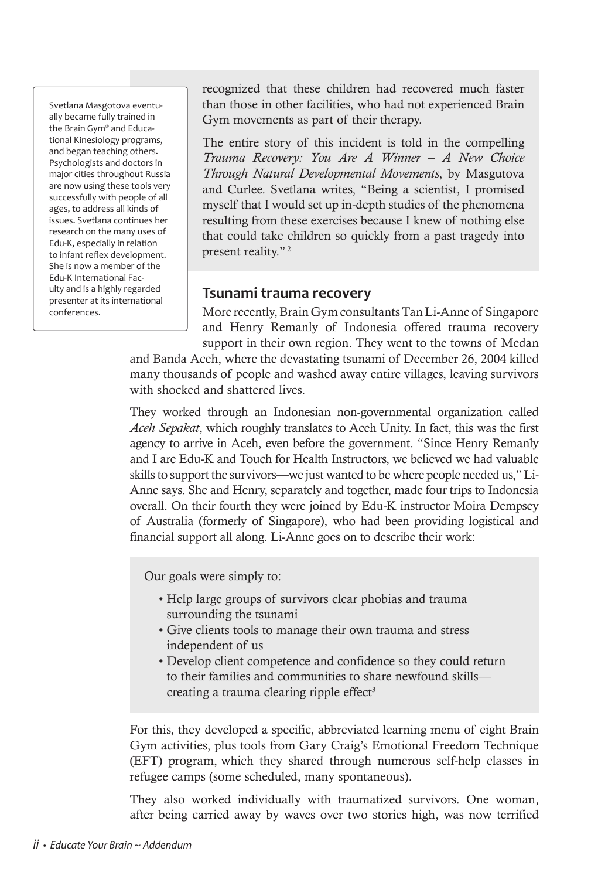Svetlana Masgotova eventually became fully trained in the Brain Gym® and Educational Kinesiology programs, and began teaching others. Psychologists and doctors in major cities throughout Russia are now using these tools very successfully with people of all ages, to address all kinds of issues. Svetlana continues her research on the many uses of Edu-K, especially in relation to infant reflex development. She is now a member of the Edu-K International Faculty and is a highly regarded presenter at its international conferences.

recognized that these children had recovered much faster than those in other facilities, who had not experienced Brain Gym movements as part of their therapy.

The entire story of this incident is told in the compelling *Trauma Recovery: You Are A Winner – A New Choice Through Natural Developmental Movements*, by Masgutova and Curlee. Svetlana writes, "Being a scientist, I promised myself that I would set up in-depth studies of the phenomena resulting from these exercises because I knew of nothing else that could take children so quickly from a past tragedy into present reality."<sup>2</sup>

### **Tsunami trauma recovery**

More recently, Brain Gym consultants Tan Li-Anne of Singapore and Henry Remanly of Indonesia offered trauma recovery support in their own region. They went to the towns of Medan

and Banda Aceh, where the devastating tsunami of December 26, 2004 killed many thousands of people and washed away entire villages, leaving survivors with shocked and shattered lives.

They worked through an Indonesian non-governmental organization called *Aceh Sepakat*, which roughly translates to Aceh Unity. In fact, this was the first agency to arrive in Aceh, even before the government. "Since Henry Remanly and I are Edu-K and Touch for Health Instructors, we believed we had valuable skills to support the survivors—we just wanted to be where people needed us," Li-Anne says. She and Henry, separately and together, made four trips to Indonesia overall. On their fourth they were joined by Edu-K instructor Moira Dempsey of Australia (formerly of Singapore), who had been providing logistical and financial support all along. Li-Anne goes on to describe their work:

Our goals were simply to:

- Help large groups of survivors clear phobias and trauma surrounding the tsunami
- Give clients tools to manage their own trauma and stress independent of us
- Develop client competence and confidence so they could return to their families and communities to share newfound skills creating a trauma clearing ripple effect<sup>3</sup>

For this, they developed a specific, abbreviated learning menu of eight Brain Gym activities, plus tools from Gary Craig's Emotional Freedom Technique (EFT) program, which they shared through numerous self-help classes in refugee camps (some scheduled, many spontaneous).

They also worked individually with traumatized survivors. One woman, after being carried away by waves over two stories high, was now terrified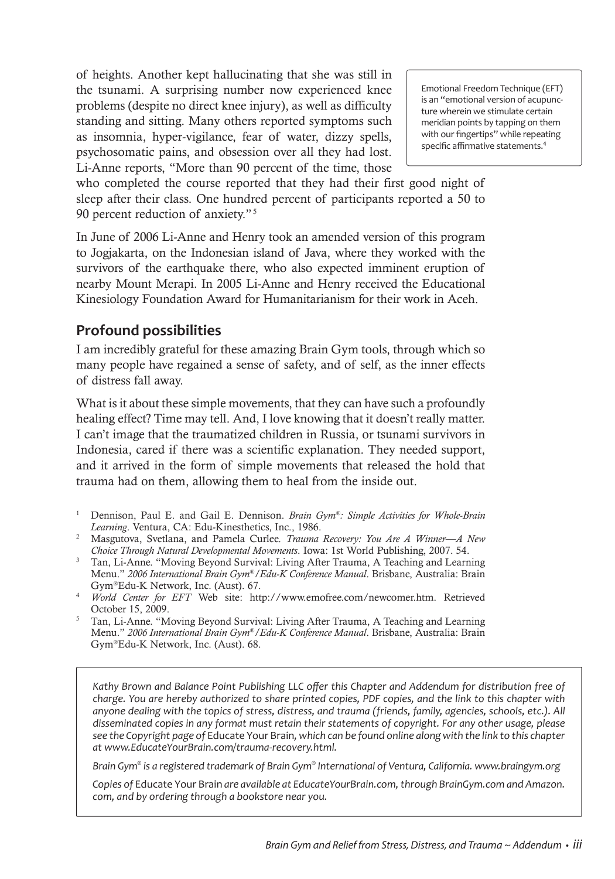of heights. Another kept hallucinating that she was still in the tsunami. A surprising number now experienced knee problems (despite no direct knee injury), as well as difficulty standing and sitting. Many others reported symptoms such as insomnia, hyper-vigilance, fear of water, dizzy spells, psychosomatic pains, and obsession over all they had lost. Li-Anne reports, "More than 90 percent of the time, those

Emotional Freedom Technique (EFT) is an "emotional version of acupuncture wherein we stimulate certain meridian points by tapping on them with our fingertips" while repeating specific affirmative statements.<sup>4</sup>

who completed the course reported that they had their first good night of sleep after their class. One hundred percent of participants reported a 50 to 90 percent reduction of anxiety."<sup>5</sup>

In June of 2006 Li-Anne and Henry took an amended version of this program to Jogjakarta, on the Indonesian island of Java, where they worked with the survivors of the earthquake there, who also expected imminent eruption of nearby Mount Merapi. In 2005 Li-Anne and Henry received the Educational Kinesiology Foundation Award for Humanitarianism for their work in Aceh.

### **Profound possibilities**

I am incredibly grateful for these amazing Brain Gym tools, through which so many people have regained a sense of safety, and of self, as the inner effects of distress fall away.

What is it about these simple movements, that they can have such a profoundly healing effect? Time may tell. And, I love knowing that it doesn't really matter. I can't image that the traumatized children in Russia, or tsunami survivors in Indonesia, cared if there was a scientific explanation. They needed support, and it arrived in the form of simple movements that released the hold that trauma had on them, allowing them to heal from the inside out.

- <sup>1</sup> Dennison, Paul E. and Gail E. Dennison. *Brain Gym®: Simple Activities for Whole-Brain Learning*. Ventura, CA: Edu-Kinesthetics, Inc., 1986.
- <sup>2</sup> Masgutova, Svetlana, and Pamela Curlee. *Trauma Recovery: You Are A Winner—A New Choice Through Natural Developmental Movements*. Iowa: 1st World Publishing, 2007. 54.
- <sup>3</sup> Tan, Li-Anne. "Moving Beyond Survival: Living After Trauma, A Teaching and Learning Menu." *2006 International Brain Gym®/Edu-K Conference Manual*. Brisbane, Australia: Brain Gym®Edu-K Network, Inc. (Aust). 67. 4 *World Center for EFT* Web site: http://www.emofree.com/newcomer.htm. Retrieved
- October 15, 2009. 5 Tan, Li-Anne. "Moving Beyond Survival: Living After Trauma, A Teaching and Learning
- Menu." *2006 International Brain Gym®/Edu-K Conference Manual*. Brisbane, Australia: Brain Gym®Edu-K Network, Inc. (Aust). 68.

*Kathy Brown and Balance Point Publishing LLC offer this Chapter and Addendum for distribution free of charge. You are hereby authorized to share printed copies, PDF copies, and the link to this chapter with anyone dealing with the topics of stress, distress, and trauma (friends, family, agencies, schools, etc.). All disseminated copies in any format must retain their statements of copyright. For any other usage, please see the Copyright page of* Educate Your Brain*, which can be found online along with the link to this chapter at www.EducateYourBrain.com/trauma-recovery.html.*

*Brain Gym® is a registered trademark of Brain Gym® International of Ventura, California. www.braingym.org*

*Copies of* Educate Your Brain *are available at EducateYourBrain.com, through BrainGym.com and Amazon. com, and by ordering through a bookstore near you.*